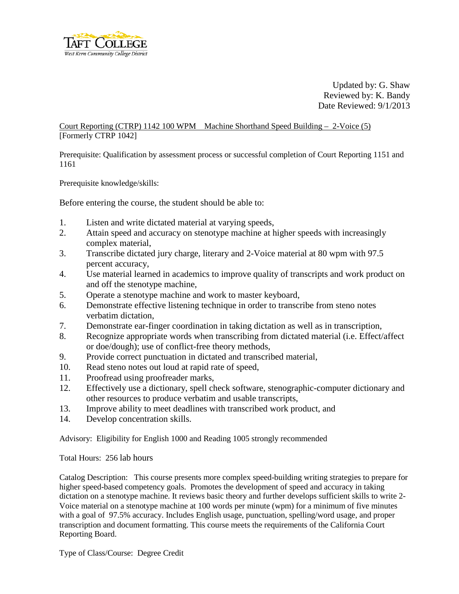

Updated by: G. Shaw Reviewed by: K. Bandy Date Reviewed: 9/1/2013

Court Reporting (CTRP) 1142 100 WPM Machine Shorthand Speed Building – 2-Voice (5) [Formerly CTRP 1042]

Prerequisite: Qualification by assessment process or successful completion of Court Reporting 1151 and 1161

Prerequisite knowledge/skills:

Before entering the course, the student should be able to:

- 1. Listen and write dictated material at varying speeds,
- 2. Attain speed and accuracy on stenotype machine at higher speeds with increasingly complex material,
- 3. Transcribe dictated jury charge, literary and 2-Voice material at 80 wpm with 97.5 percent accuracy,
- 4. Use material learned in academics to improve quality of transcripts and work product on and off the stenotype machine,
- 5. Operate a stenotype machine and work to master keyboard,
- 6. Demonstrate effective listening technique in order to transcribe from steno notes verbatim dictation,
- 7. Demonstrate ear-finger coordination in taking dictation as well as in transcription,
- 8. Recognize appropriate words when transcribing from dictated material (i.e. Effect/affect or doe/dough); use of conflict-free theory methods,
- 9. Provide correct punctuation in dictated and transcribed material,
- 10. Read steno notes out loud at rapid rate of speed,
- 11. Proofread using proofreader marks,
- 12. Effectively use a dictionary, spell check software, stenographic-computer dictionary and other resources to produce verbatim and usable transcripts,
- 13. Improve ability to meet deadlines with transcribed work product, and
- 14. Develop concentration skills.

Advisory: Eligibility for English 1000 and Reading 1005 strongly recommended

Total Hours: 256 lab hours

Catalog Description: This course presents more complex speed-building writing strategies to prepare for higher speed-based competency goals. Promotes the development of speed and accuracy in taking dictation on a stenotype machine. It reviews basic theory and further develops sufficient skills to write 2- Voice material on a stenotype machine at 100 words per minute (wpm) for a minimum of five minutes with a goal of 97.5% accuracy. Includes English usage, punctuation, spelling/word usage, and proper transcription and document formatting. This course meets the requirements of the California Court Reporting Board.

Type of Class/Course: Degree Credit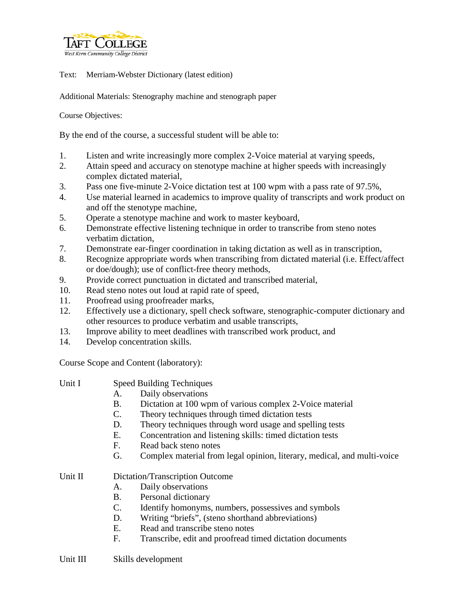

Text: Merriam-Webster Dictionary (latest edition)

Additional Materials: Stenography machine and stenograph paper

Course Objectives:

By the end of the course, a successful student will be able to:

- 1. Listen and write increasingly more complex 2-Voice material at varying speeds,
- 2. Attain speed and accuracy on stenotype machine at higher speeds with increasingly complex dictated material,
- 3. Pass one five-minute 2-Voice dictation test at 100 wpm with a pass rate of 97.5%,
- 4. Use material learned in academics to improve quality of transcripts and work product on and off the stenotype machine,
- 5. Operate a stenotype machine and work to master keyboard,
- 6. Demonstrate effective listening technique in order to transcribe from steno notes verbatim dictation,
- 7. Demonstrate ear-finger coordination in taking dictation as well as in transcription,
- 8. Recognize appropriate words when transcribing from dictated material (i.e. Effect/affect or doe/dough); use of conflict-free theory methods,
- 9. Provide correct punctuation in dictated and transcribed material,
- 10. Read steno notes out loud at rapid rate of speed,
- 11. Proofread using proofreader marks,
- 12. Effectively use a dictionary, spell check software, stenographic-computer dictionary and other resources to produce verbatim and usable transcripts,
- 13. Improve ability to meet deadlines with transcribed work product, and
- 14. Develop concentration skills.

Course Scope and Content (laboratory):

| Unit I  | <b>Speed Building Techniques</b> |                                                                         |
|---------|----------------------------------|-------------------------------------------------------------------------|
|         | A.                               | Daily observations                                                      |
|         | В.                               | Dictation at 100 wpm of various complex 2-Voice material                |
|         | $\mathcal{C}$ .                  | Theory techniques through timed dictation tests                         |
|         | D.                               | Theory techniques through word usage and spelling tests                 |
|         | E.                               | Concentration and listening skills: timed dictation tests               |
|         | F.                               | Read back steno notes                                                   |
|         | G.                               | Complex material from legal opinion, literary, medical, and multi-voice |
| Unit II | Dictation/Transcription Outcome  |                                                                         |
|         | A.                               | Daily observations                                                      |
|         | Β.                               | Personal dictionary                                                     |
|         | $\mathcal{C}$ .                  | Identify homonyms, numbers, possessives and symbols                     |
|         | D.                               | Writing "briefs", (steno shorthand abbreviations)                       |
|         | E.                               | Read and transcribe steno notes                                         |
|         | F.                               | Transcribe, edit and proofread timed dictation documents                |
|         |                                  |                                                                         |

Unit III Skills development